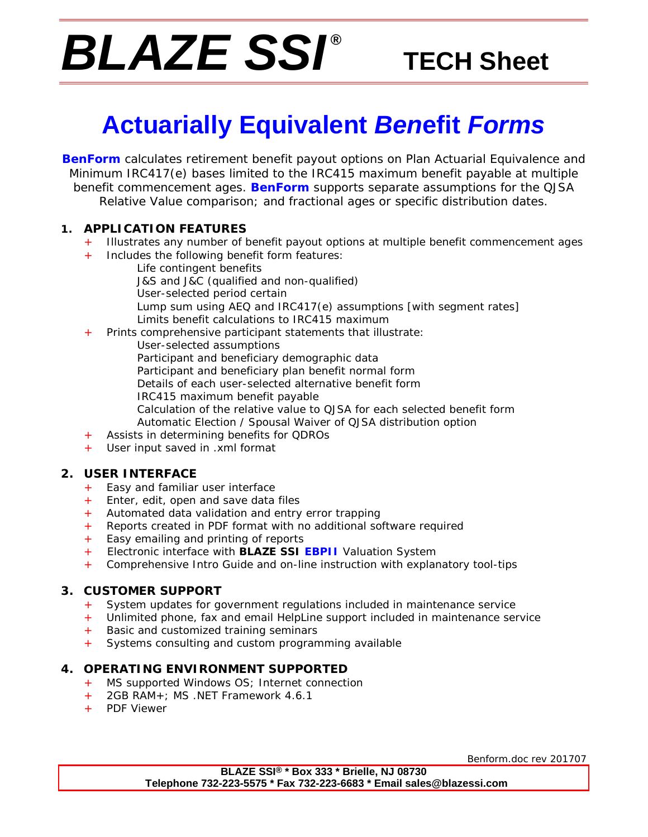# *BLAZE SSI ®*

# **TECH Sheet**

# **Actuarially Equivalent** *Ben***efit** *Forms*

**BenForm** calculates retirement benefit payout options on Plan Actuarial Equivalence and Minimum IRC417(e) bases limited to the IRC415 maximum benefit payable at multiple benefit commencement ages. **BenForm** supports separate assumptions for the QJSA Relative Value comparison; and fractional ages or specific distribution dates.

## **1. APPLICATION FEATURES**

- Illustrates any number of benefit payout options at multiple benefit commencement ages
- + Includes the following benefit form features:
	- Life contingent benefits
		- J&S and J&C (qualified and non-qualified)
		- User-selected period certain
		- Lump sum using AEQ and IRC417(e) assumptions [with segment rates] Limits benefit calculations to IRC415 maximum
	- Prints comprehensive participant statements that illustrate:
		- User-selected assumptions Participant and beneficiary demographic data Participant and beneficiary plan benefit normal form Details of each user-selected alternative benefit form
			- IRC415 maximum benefit payable
				- Calculation of the relative value to QJSA for each selected benefit form Automatic Election / Spousal Waiver of QJSA distribution option
- Assists in determining benefits for QDROs
- + User input saved in .xml format

## **2. USER INTERFACE**

- + Easy and familiar user interface
- + Enter, edit, open and save data files
- + Automated data validation and entry error trapping
- + Reports created in PDF format with no additional software required
- + Easy emailing and printing of reports
- + Electronic interface with **BLAZE SSI EBPII** Valuation System
- + Comprehensive Intro Guide and on-line instruction with explanatory tool-tips

## **3. CUSTOMER SUPPORT**

- + System updates for government regulations included in maintenance service
- + Unlimited phone, fax and email HelpLine support included in maintenance service
- Basic and customized training seminars
- + Systems consulting and custom programming available

## **4. OPERATING ENVIRONMENT SUPPORTED**

- + MS supported Windows OS; Internet connection
- + 2GB RAM+; MS .NET Framework 4.6.1
- + PDF Viewer

Benform.doc rev 201707

**BLAZE SSI® \* Box 333 \* Brielle, NJ 08730 Telephone 732-223-5575 \* Fax 732-223-6683 \* Email sales@blazessi.com**